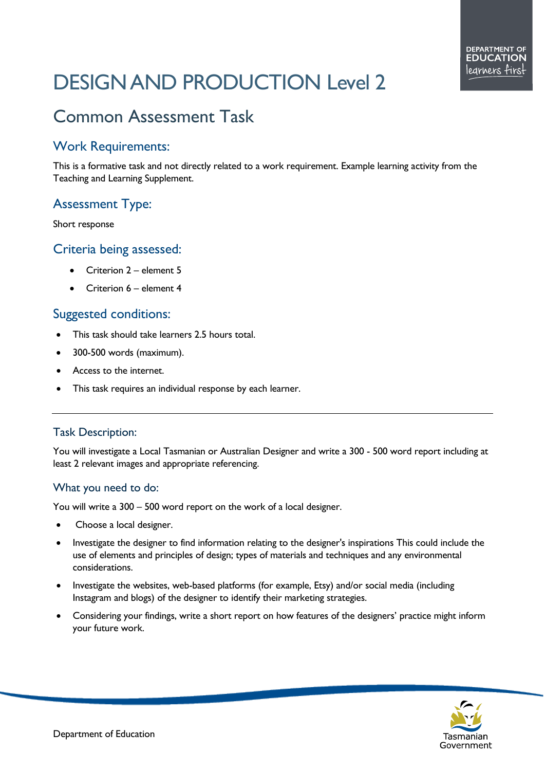# DESIGN AND PRODUCTION Level 2

# Common Assessment Task

#### Work Requirements:

This is a formative task and not directly related to a work requirement. Example learning activity from the Teaching and Learning Supplement.

## Assessment Type:

Short response

#### Criteria being assessed:

- Criterion 2 element 5
- Criterion 6 element 4

#### Suggested conditions:

- This task should take learners 2.5 hours total.
- 300-500 words (maximum).
- Access to the internet.
- This task requires an individual response by each learner.

#### Task Description:

You will investigate a Local Tasmanian or Australian Designer and write a 300 - 500 word report including at least 2 relevant images and appropriate referencing.

#### What you need to do:

You will write a 300 – 500 word report on the work of a local designer.

- Choose a local designer.
- Investigate the designer to find information relating to the designer's inspirations This could include the use of elements and principles of design; types of materials and techniques and any environmental considerations.
- Investigate the websites, web-based platforms (for example, Etsy) and/or social media (including Instagram and blogs) of the designer to identify their marketing strategies.
- Considering your findings, write a short report on how features of the designers' practice might inform your future work.